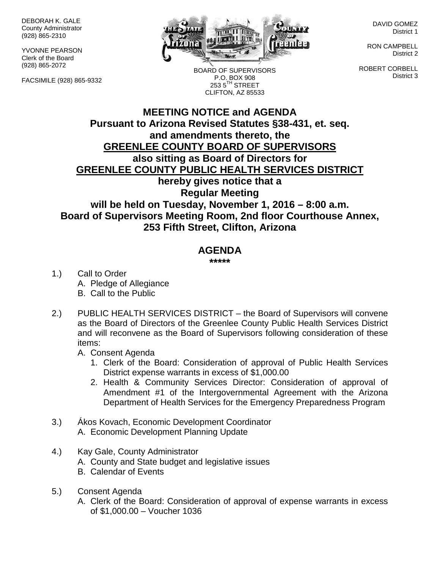DEBORAH K. GALE County Administrator (928) 865-2310

YVONNE PEARSON Clerk of the Board (928) 865-2072

FACSIMILE (928) 865-9332



BOARD OF SUPERVISORS P.O. BOX 908 253 5<sup>TH</sup> STREET CLIFTON, AZ 85533

DAVID GOMEZ District 1

RON CAMPBELL District 2

ROBERT CORBELL District 3

## **MEETING NOTICE and AGENDA Pursuant to Arizona Revised Statutes §38-431, et. seq. and amendments thereto, the GREENLEE COUNTY BOARD OF SUPERVISORS also sitting as Board of Directors for GREENLEE COUNTY PUBLIC HEALTH SERVICES DISTRICT hereby gives notice that a Regular Meeting will be held on Tuesday, November 1, 2016 – 8:00 a.m. Board of Supervisors Meeting Room, 2nd floor Courthouse Annex, 253 Fifth Street, Clifton, Arizona**

## **AGENDA**

**\*\*\*\*\***

- 1.) Call to Order A. Pledge of Allegiance B. Call to the Public
- 2.) PUBLIC HEALTH SERVICES DISTRICT the Board of Supervisors will convene as the Board of Directors of the Greenlee County Public Health Services District and will reconvene as the Board of Supervisors following consideration of these items:
	- A. Consent Agenda
		- 1. Clerk of the Board: Consideration of approval of Public Health Services District expense warrants in excess of \$1,000.00
		- 2. Health & Community Services Director: Consideration of approval of Amendment #1 of the Intergovernmental Agreement with the Arizona Department of Health Services for the Emergency Preparedness Program
- 3.) Ákos Kovach, Economic Development Coordinator A. Economic Development Planning Update
- 4.) Kay Gale, County Administrator
	- A. County and State budget and legislative issues
	- B. Calendar of Events
- 5.) Consent Agenda
	- A. Clerk of the Board: Consideration of approval of expense warrants in excess of \$1,000.00 – Voucher 1036